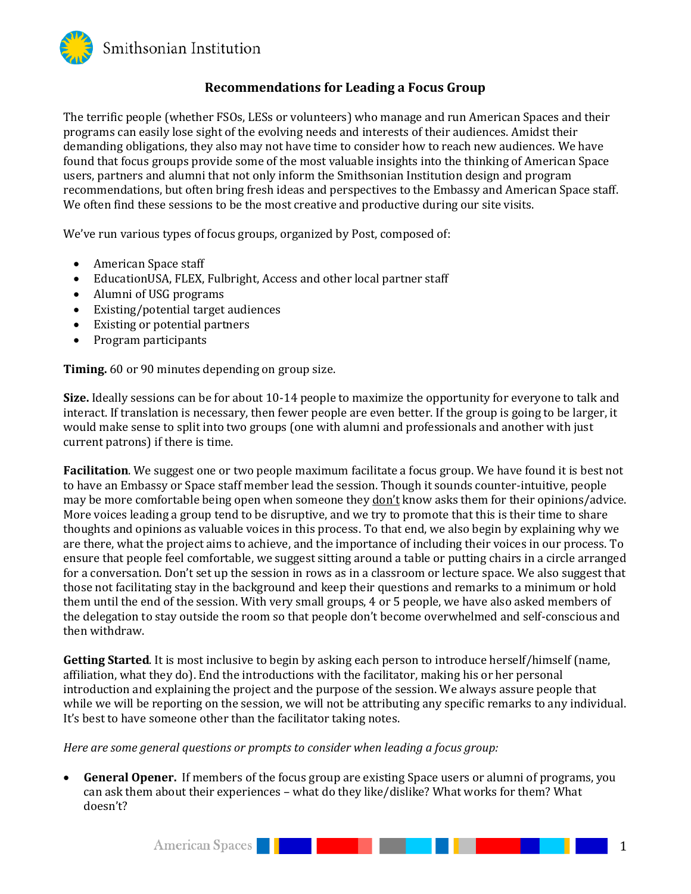

## **Recommendations for Leading a Focus Group**

The terrific people (whether FSOs, LESs or volunteers) who manage and run American Spaces and their programs can easily lose sight of the evolving needs and interests of their audiences. Amidst their demanding obligations, they also may not have time to consider how to reach new audiences. We have found that focus groups provide some of the most valuable insights into the thinking of American Space users, partners and alumni that not only inform the Smithsonian Institution design and program recommendations, but often bring fresh ideas and perspectives to the Embassy and American Space staff. We often find these sessions to be the most creative and productive during our site visits.

We've run various types of focus groups, organized by Post, composed of:

- American Space staff
- EducationUSA, FLEX, Fulbright, Access and other local partner staff
- Alumni of USG programs
- Existing/potential target audiences
- Existing or potential partners
- Program participants

**Timing.** 60 or 90 minutes depending on group size.

**Size.** Ideally sessions can be for about 10-14 people to maximize the opportunity for everyone to talk and interact. If translation is necessary, then fewer people are even better. If the group is going to be larger, it would make sense to split into two groups (one with alumni and professionals and another with just current patrons) if there is time.

**Facilitation**. We suggest one or two people maximum facilitate a focus group. We have found it is best not to have an Embassy or Space staff member lead the session. Though it sounds counter-intuitive, people may be more comfortable being open when someone they don't know asks them for their opinions/advice. More voices leading a group tend to be disruptive, and we try to promote that this is their time to share thoughts and opinions as valuable voices in this process. To that end, we also begin by explaining why we are there, what the project aims to achieve, and the importance of including their voices in our process. To ensure that people feel comfortable, we suggest sitting around a table or putting chairs in a circle arranged for a conversation. Don't set up the session in rows as in a classroom or lecture space. We also suggest that those not facilitating stay in the background and keep their questions and remarks to a minimum or hold them until the end of the session. With very small groups, 4 or 5 people, we have also asked members of the delegation to stay outside the room so that people don't become overwhelmed and self-conscious and then withdraw.

**Getting Started**. It is most inclusive to begin by asking each person to introduce herself/himself (name, affiliation, what they do). End the introductions with the facilitator, making his or her personal introduction and explaining the project and the purpose of the session. We always assure people that while we will be reporting on the session, we will not be attributing any specific remarks to any individual. It's best to have someone other than the facilitator taking notes.

*Here are some general questions or prompts to consider when leading a focus group:*

 **General Opener.** If members of the focus group are existing Space users or alumni of programs, you can ask them about their experiences – what do they like/dislike? What works for them? What doesn't?